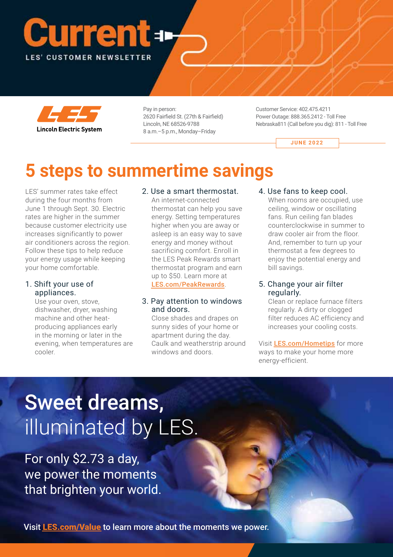# LES' CUSTOMER NEWSLETTER



Pay in person: 2620 Fairfield St. (27th & Fairfield) Lincoln, NE 68526-9788 8 a.m.–5 p.m., Monday–Friday

Customer Service: 402.475.4211 Power Outage: 888.365.2412 - Toll Free Nebraska811 (Call before you dig): 811 - Toll Free

**JUNE 2022** 

# **5 steps to summertime savings**

LES' summer rates take effect during the four months from June 1 through Sept. 30. Electric rates are higher in the summer because customer electricity use increases significantly to power air conditioners across the region. Follow these tips to help reduce your energy usage while keeping your home comfortable. **Current Constrained Section**<br> **Current Current Current Current Current Current Current Current Current Current Current Current Current Current Current Current Current Current Current Current Current Current Current Curren** 

#### 1. Shift your use of appliances.

Use your oven, stove, dishwasher, dryer, washing machine and other heatproducing appliances early in the morning or later in the evening, when temperatures are cooler.

#### 2. Use a smart thermostat.

An internet-connected thermostat can help you save energy. Setting temperatures higher when you are away or asleep is an easy way to save energy and money without sacrificing comfort. Enroll in the LES Peak Rewards smart thermostat program and earn up to \$50. Learn more at [LES.com/PeakRewards](https://www.les.com/sustainability/les-peak-rewards).

#### 3. Pay attention to windows and doors.

Close shades and drapes on sunny sides of your home or apartment during the day. Caulk and weatherstrip around windows and doors.

#### 4. Use fans to keep cool.

When rooms are occupied, use ceiling, window or oscillating fans. Run ceiling fan blades counterclockwise in summer to draw cooler air from the floor. And, remember to turn up your thermostat a few degrees to enjoy the potential energy and bill savings.

#### 5. Change your air filter regularly.

Clean or replace furnace filters regularly. A dirty or clogged filter reduces AC efficiency and increases your cooling costs.

Visit [LES.com/Hometips](https://www.les.com/customers/save-energy) for more ways to make your home more energy-efficient.

# Sweet dreams, illuminated by LES.

For only \$2.73 a day, we power the moments that brighten your world.

Visit [LES.com/Value](https://www.les.com/value-273-day) to learn more about the moments we power.